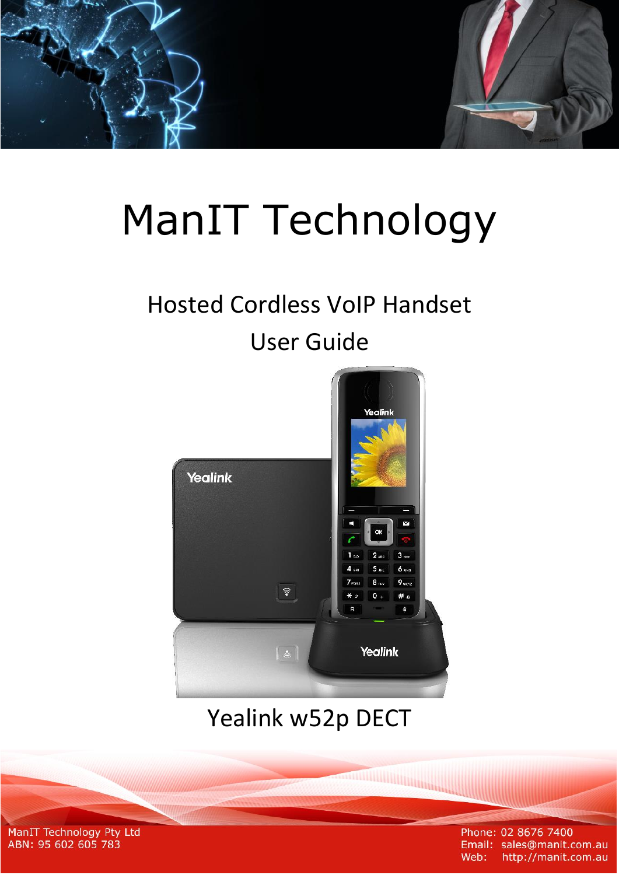

# **ManIT Technology**

# **Hosted Cordless VoIP Handset**

# **User Guide**



# Yealink w52p DECT

**TANA MANAGEMENT DE L'ANNONCE DE L'ANNONCE DE L'ANNONCE DE L'ANNONCE DE L'ANNONCE DE L'ANNONCE DE L'ANNONCE DE** 

ManIT Technology Pty Ltd ABN: 95 602 605 783

Phone: 02 8676 7400 Email: sales@manit.com.au Web: http://manit.com.au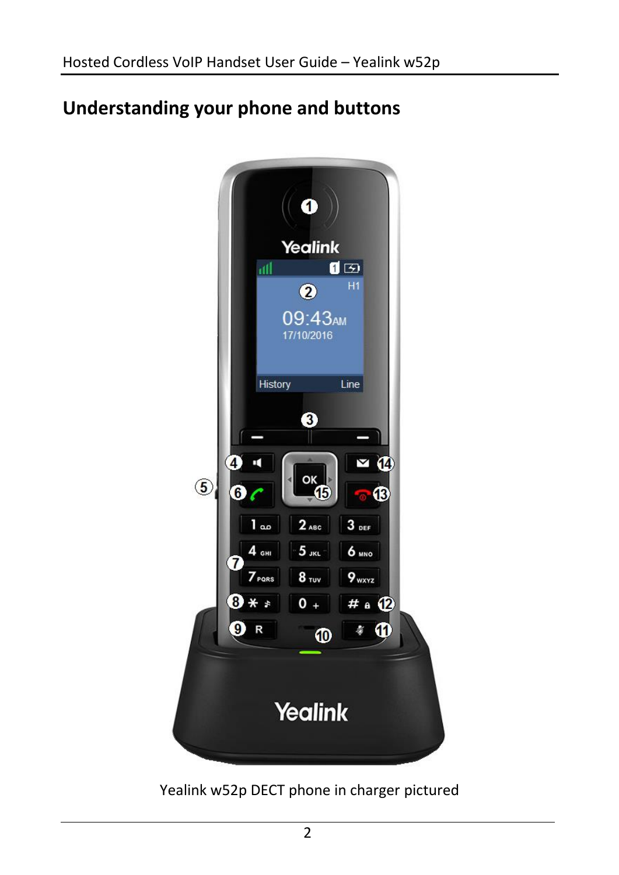## **Understanding your phone and buttons**



Yealink w52p DECT phone in charger pictured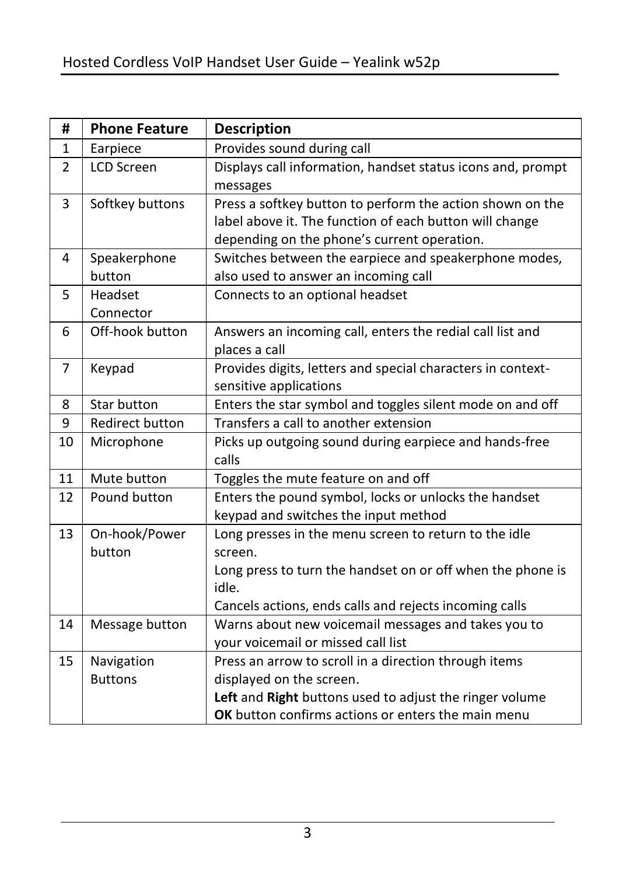| #              | <b>Phone Feature</b>                                                | <b>Description</b>                                                                                                   |  |  |
|----------------|---------------------------------------------------------------------|----------------------------------------------------------------------------------------------------------------------|--|--|
| $\mathbf{1}$   | Earpiece                                                            | Provides sound during call                                                                                           |  |  |
| $\overline{2}$ | <b>LCD Screen</b>                                                   | Displays call information, handset status icons and, prompt<br>messages                                              |  |  |
| 3              | Softkey buttons                                                     | Press a softkey button to perform the action shown on the<br>label above it. The function of each button will change |  |  |
|                |                                                                     | depending on the phone's current operation.                                                                          |  |  |
| 4              | Speakerphone                                                        | Switches between the earpiece and speakerphone modes,                                                                |  |  |
|                | button                                                              | also used to answer an incoming call                                                                                 |  |  |
| 5              | Headset                                                             | Connects to an optional headset                                                                                      |  |  |
|                | Connector                                                           |                                                                                                                      |  |  |
| 6              | Off-hook button                                                     | Answers an incoming call, enters the redial call list and<br>places a call                                           |  |  |
| 7              | Keypad                                                              | Provides digits, letters and special characters in context-<br>sensitive applications                                |  |  |
| 8              | Star button                                                         | Enters the star symbol and toggles silent mode on and off                                                            |  |  |
| 9              | <b>Redirect button</b>                                              | Transfers a call to another extension                                                                                |  |  |
| 10             | Microphone                                                          | Picks up outgoing sound during earpiece and hands-free<br>calls                                                      |  |  |
| 11             | Mute button                                                         | Toggles the mute feature on and off                                                                                  |  |  |
| 12             | Pound button                                                        | Enters the pound symbol, locks or unlocks the handset<br>keypad and switches the input method                        |  |  |
| 13             | On-hook/Power<br>button                                             | Long presses in the menu screen to return to the idle<br>screen.                                                     |  |  |
|                |                                                                     | Long press to turn the handset on or off when the phone is                                                           |  |  |
|                |                                                                     | idle.                                                                                                                |  |  |
|                |                                                                     | Cancels actions, ends calls and rejects incoming calls                                                               |  |  |
| 14             | Message button                                                      | Warns about new voicemail messages and takes you to                                                                  |  |  |
|                |                                                                     | your voicemail or missed call list                                                                                   |  |  |
| 15             | Navigation<br>Press an arrow to scroll in a direction through items |                                                                                                                      |  |  |
|                | <b>Buttons</b>                                                      | displayed on the screen.                                                                                             |  |  |
|                |                                                                     | Left and Right buttons used to adjust the ringer volume                                                              |  |  |
|                |                                                                     | OK button confirms actions or enters the main menu                                                                   |  |  |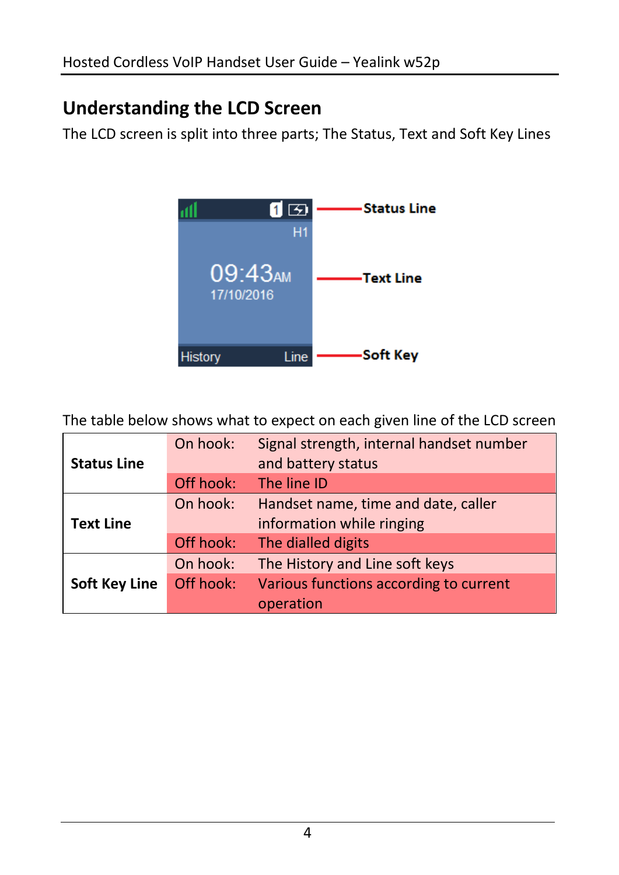### **Understanding the LCD Screen**

The LCD screen is split into three parts; The Status, Text and Soft Key Lines



The table below shows what to expect on each given line of the LCD screen

|                      | On hook:  | Signal strength, internal handset number |  |  |
|----------------------|-----------|------------------------------------------|--|--|
| <b>Status Line</b>   |           | and battery status                       |  |  |
|                      | Off hook: | The line ID                              |  |  |
|                      | On hook:  | Handset name, time and date, caller      |  |  |
| <b>Text Line</b>     |           | information while ringing                |  |  |
|                      | Off hook: | The dialled digits                       |  |  |
|                      | On hook:  | The History and Line soft keys           |  |  |
| <b>Soft Key Line</b> | Off hook: | Various functions according to current   |  |  |
|                      |           | operation                                |  |  |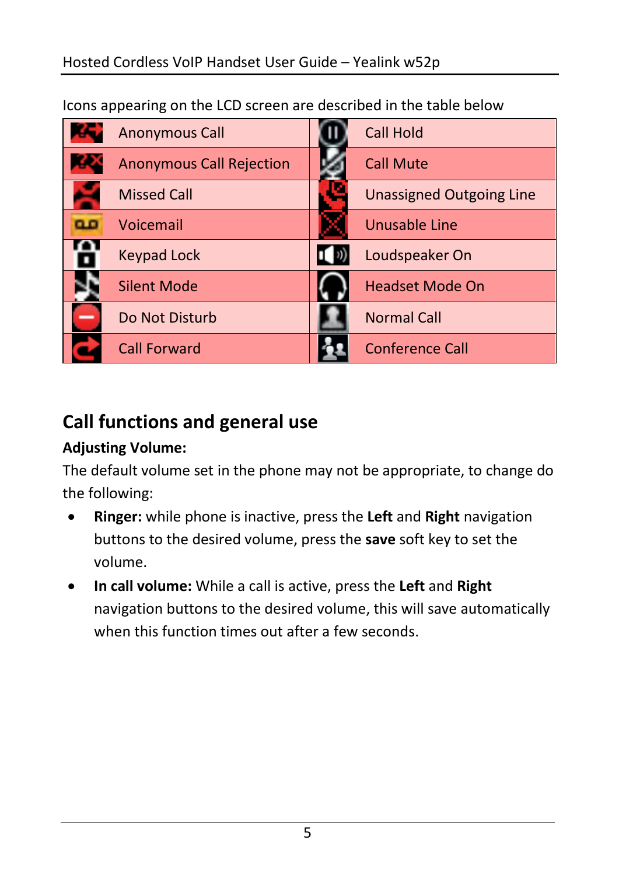Icons appearing on the LCD screen are described in the table below

| <b>Anonymous Call</b>           | <b>Call Hold</b>                |
|---------------------------------|---------------------------------|
| <b>Anonymous Call Rejection</b> | <b>Call Mute</b>                |
| <b>Missed Call</b>              | <b>Unassigned Outgoing Line</b> |
| Voicemail                       | Unusable Line                   |
| <b>Keypad Lock</b>              | Loudspeaker On                  |
| <b>Silent Mode</b>              | <b>Headset Mode On</b>          |
| Do Not Disturb                  | <b>Normal Call</b>              |
| <b>Call Forward</b>             | <b>Conference Call</b>          |

## **Call functions and general use**

#### **Adjusting Volume:**

The default volume set in the phone may not be appropriate, to change do the following:

- **Ringer:** while phone is inactive, press the **Left** and **Right** navigation buttons to the desired volume, press the **save** soft key to set the volume.
- **In call volume:** While a call is active, press the **Left** and **Right** navigation buttons to the desired volume, this will save automatically when this function times out after a few seconds.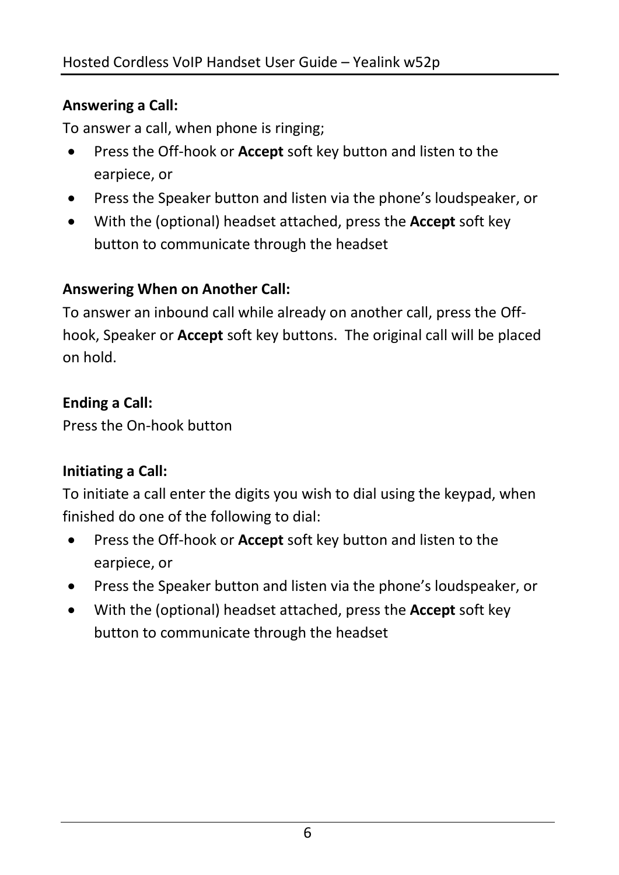#### **Answering a Call:**

To answer a call, when phone is ringing;

- Press the Off-hook or **Accept** soft key button and listen to the earpiece, or
- Press the Speaker button and listen via the phone's loudspeaker, or
- With the (optional) headset attached, press the **Accept** soft key button to communicate through the headset

#### **Answering When on Another Call:**

To answer an inbound call while already on another call, press the Offhook, Speaker or **Accept** soft key buttons. The original call will be placed on hold.

#### **Ending a Call:**

Press the On-hook button

#### **Initiating a Call:**

To initiate a call enter the digits you wish to dial using the keypad, when finished do one of the following to dial:

- Press the Off-hook or **Accept** soft key button and listen to the earpiece, or
- Press the Speaker button and listen via the phone's loudspeaker, or
- With the (optional) headset attached, press the **Accept** soft key button to communicate through the headset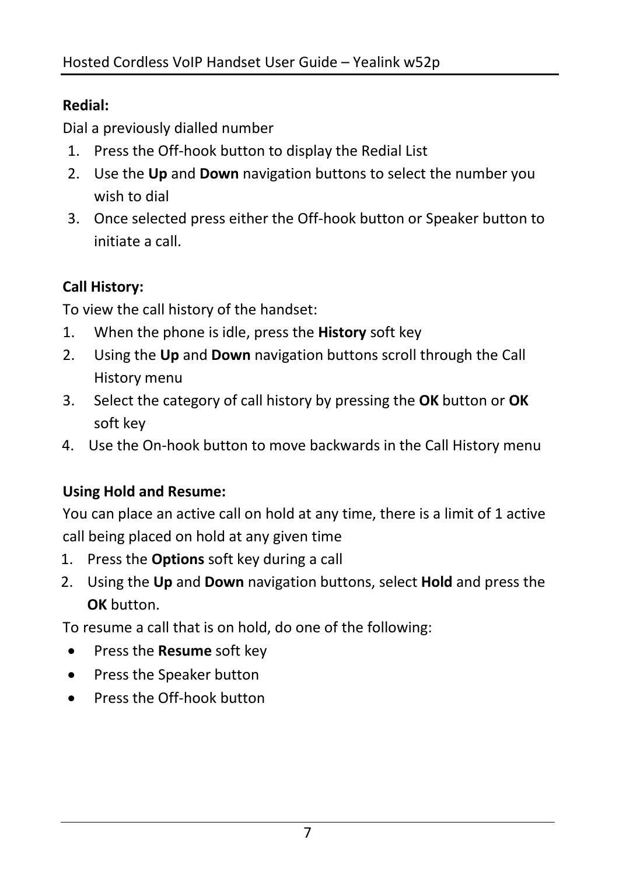#### **Redial:**

Dial a previously dialled number

- 1. Press the Off-hook button to display the Redial List
- 2. Use the **Up** and **Down** navigation buttons to select the number you wish to dial
- 3. Once selected press either the Off-hook button or Speaker button to initiate a call.

#### **Call History:**

To view the call history of the handset:

- 1. When the phone is idle, press the **History** soft key
- 2. Using the **Up** and **Down** navigation buttons scroll through the Call History menu
- 3. Select the category of call history by pressing the **OK** button or **OK** soft key
- 4. Use the On-hook button to move backwards in the Call History menu

#### **Using Hold and Resume:**

You can place an active call on hold at any time, there is a limit of 1 active call being placed on hold at any given time

- 1. Press the **Options** soft key during a call
- 2. Using the **Up** and **Down** navigation buttons, select **Hold** and press the **OK** button.

To resume a call that is on hold, do one of the following:

- Press the **Resume** soft key
- Press the Speaker button
- Press the Off-hook button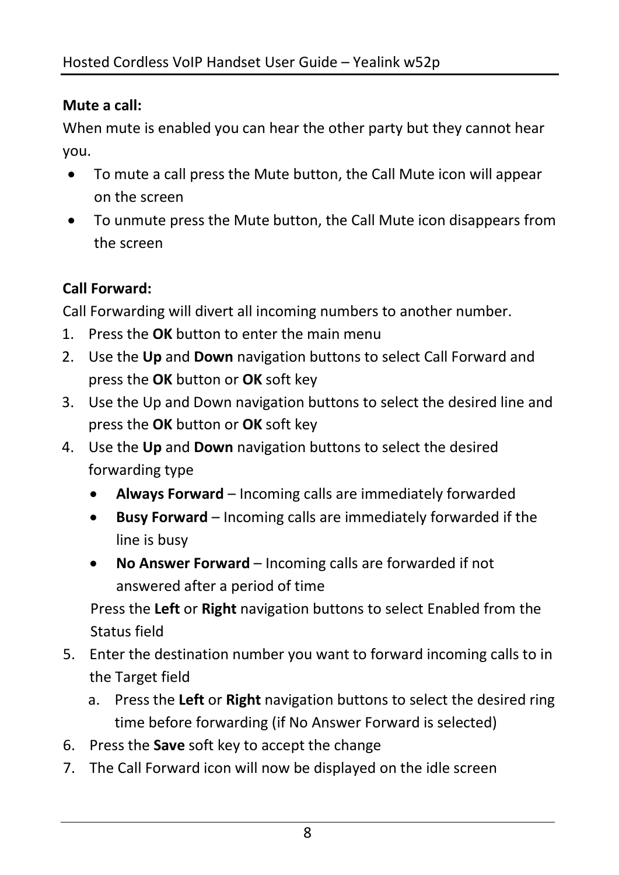#### **Mute a call:**

When mute is enabled you can hear the other party but they cannot hear you.

- To mute a call press the Mute button, the Call Mute icon will appear on the screen
- To unmute press the Mute button, the Call Mute icon disappears from the screen

#### **Call Forward:**

Call Forwarding will divert all incoming numbers to another number.

- 1. Press the **OK** button to enter the main menu
- 2. Use the **Up** and **Down** navigation buttons to select Call Forward and press the **OK** button or **OK** soft key
- 3. Use the Up and Down navigation buttons to select the desired line and press the **OK** button or **OK** soft key
- 4. Use the **Up** and **Down** navigation buttons to select the desired forwarding type
	- **Always Forward** Incoming calls are immediately forwarded
	- **Busy Forward** Incoming calls are immediately forwarded if the line is busy
	- **No Answer Forward** Incoming calls are forwarded if not answered after a period of time

Press the **Left** or **Right** navigation buttons to select Enabled from the Status field

- 5. Enter the destination number you want to forward incoming calls to in the Target field
	- a. Press the **Left** or **Right** navigation buttons to select the desired ring time before forwarding (if No Answer Forward is selected)
- 6. Press the **Save** soft key to accept the change
- 7. The Call Forward icon will now be displayed on the idle screen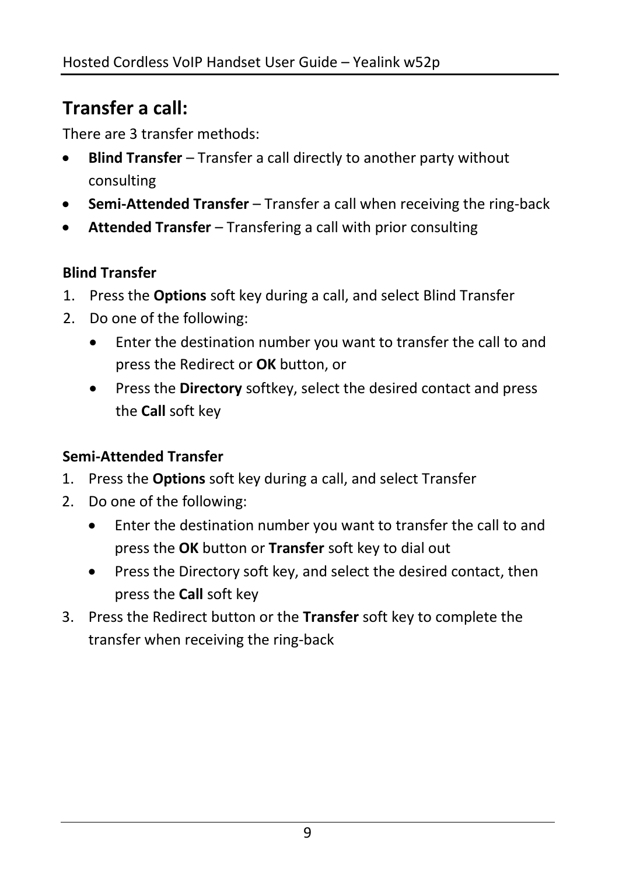# **Transfer a call:**

There are 3 transfer methods:

- **Blind Transfer** Transfer a call directly to another party without consulting
- **Semi-Attended Transfer** Transfer a call when receiving the ring-back
- **Attended Transfer** Transfering a call with prior consulting

#### **Blind Transfer**

- 1. Press the **Options** soft key during a call, and select Blind Transfer
- 2. Do one of the following:
	- Enter the destination number you want to transfer the call to and press the Redirect or **OK** button, or
	- Press the **Directory** softkey, select the desired contact and press the **Call** soft key

#### **Semi-Attended Transfer**

- 1. Press the **Options** soft key during a call, and select Transfer
- 2. Do one of the following:
	- Enter the destination number you want to transfer the call to and press the **OK** button or **Transfer** soft key to dial out
	- Press the Directory soft key, and select the desired contact, then press the **Call** soft key
- 3. Press the Redirect button or the **Transfer** soft key to complete the transfer when receiving the ring-back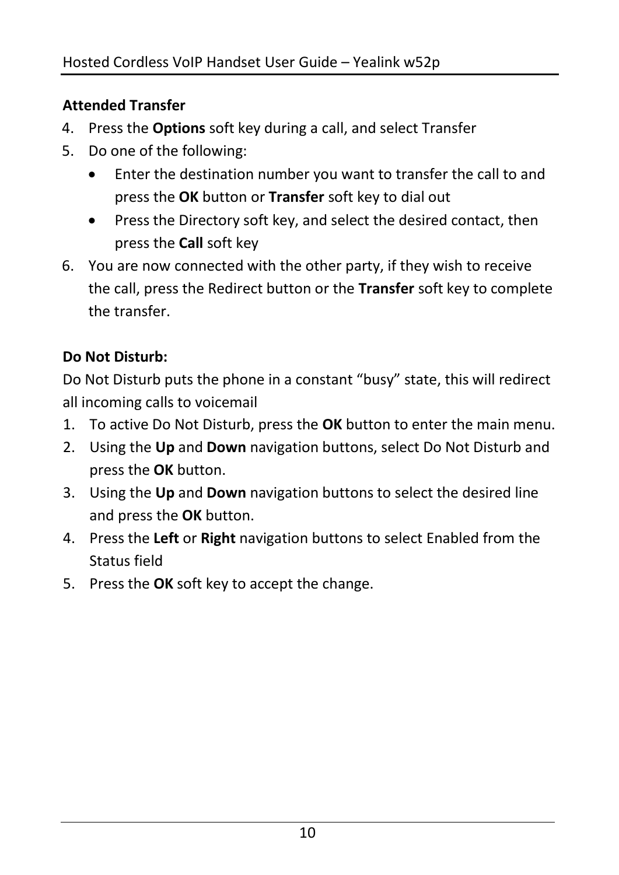#### **Attended Transfer**

- 4. Press the **Options** soft key during a call, and select Transfer
- 5. Do one of the following:
	- Enter the destination number you want to transfer the call to and press the **OK** button or **Transfer** soft key to dial out
	- Press the Directory soft key, and select the desired contact, then press the **Call** soft key
- 6. You are now connected with the other party, if they wish to receive the call, press the Redirect button or the **Transfer** soft key to complete the transfer.

#### **Do Not Disturb:**

Do Not Disturb puts the phone in a constant "busy" state, this will redirect all incoming calls to voicemail

- 1. To active Do Not Disturb, press the **OK** button to enter the main menu.
- 2. Using the **Up** and **Down** navigation buttons, select Do Not Disturb and press the **OK** button.
- 3. Using the **Up** and **Down** navigation buttons to select the desired line and press the **OK** button.
- 4. Press the **Left** or **Right** navigation buttons to select Enabled from the Status field
- 5. Press the **OK** soft key to accept the change.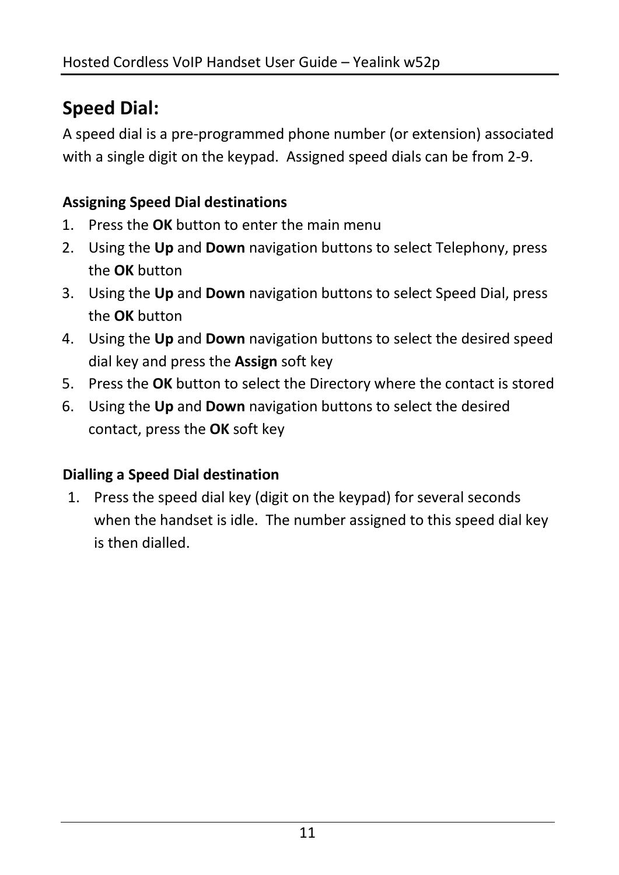# **Speed Dial:**

A speed dial is a pre-programmed phone number (or extension) associated with a single digit on the keypad. Assigned speed dials can be from 2-9.

#### **Assigning Speed Dial destinations**

- 1. Press the **OK** button to enter the main menu
- 2. Using the **Up** and **Down** navigation buttons to select Telephony, press the **OK** button
- 3. Using the **Up** and **Down** navigation buttons to select Speed Dial, press the **OK** button
- 4. Using the **Up** and **Down** navigation buttons to select the desired speed dial key and press the **Assign** soft key
- 5. Press the **OK** button to select the Directory where the contact is stored
- 6. Using the **Up** and **Down** navigation buttons to select the desired contact, press the **OK** soft key

#### **Dialling a Speed Dial destination**

1. Press the speed dial key (digit on the keypad) for several seconds when the handset is idle. The number assigned to this speed dial key is then dialled.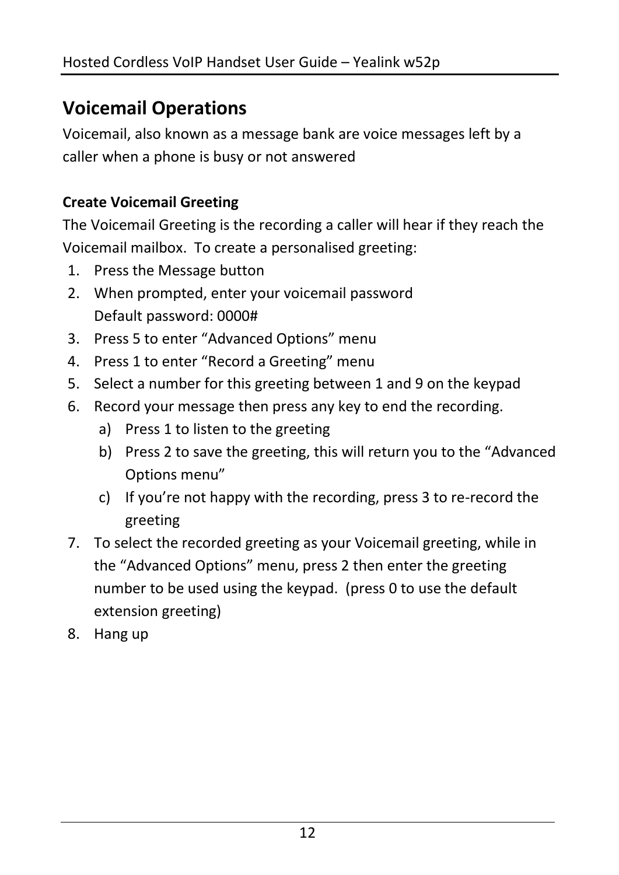### **Voicemail Operations**

Voicemail, also known as a message bank are voice messages left by a caller when a phone is busy or not answered

#### **Create Voicemail Greeting**

The Voicemail Greeting is the recording a caller will hear if they reach the Voicemail mailbox. To create a personalised greeting:

- 1. Press the Message button
- 2. When prompted, enter your voicemail password Default password: 0000#
- 3. Press 5 to enter "Advanced Options" menu
- 4. Press 1 to enter "Record a Greeting" menu
- 5. Select a number for this greeting between 1 and 9 on the keypad
- 6. Record your message then press any key to end the recording.
	- a) Press 1 to listen to the greeting
	- b) Press 2 to save the greeting, this will return you to the "Advanced Options menu"
	- c) If you're not happy with the recording, press 3 to re-record the greeting
- 7. To select the recorded greeting as your Voicemail greeting, while in the "Advanced Options" menu, press 2 then enter the greeting number to be used using the keypad. (press 0 to use the default extension greeting)
- 8. Hang up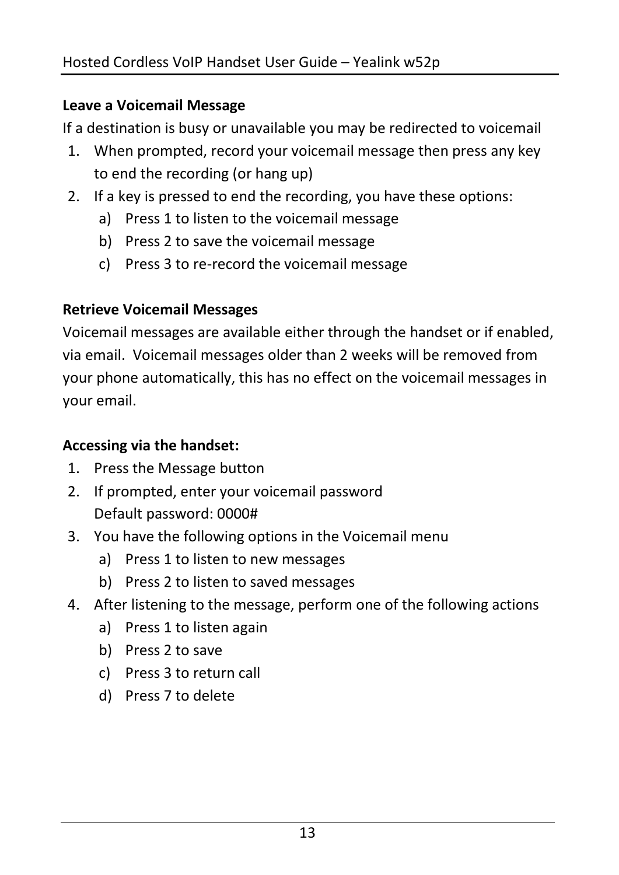#### **Leave a Voicemail Message**

If a destination is busy or unavailable you may be redirected to voicemail

- 1. When prompted, record your voicemail message then press any key to end the recording (or hang up)
- 2. If a key is pressed to end the recording, you have these options:
	- a) Press 1 to listen to the voicemail message
	- b) Press 2 to save the voicemail message
	- c) Press 3 to re-record the voicemail message

#### **Retrieve Voicemail Messages**

Voicemail messages are available either through the handset or if enabled, via email. Voicemail messages older than 2 weeks will be removed from your phone automatically, this has no effect on the voicemail messages in your email.

#### **Accessing via the handset:**

- 1. Press the Message button
- 2. If prompted, enter your voicemail password Default password: 0000#
- 3. You have the following options in the Voicemail menu
	- a) Press 1 to listen to new messages
	- b) Press 2 to listen to saved messages
- 4. After listening to the message, perform one of the following actions
	- a) Press 1 to listen again
	- b) Press 2 to save
	- c) Press 3 to return call
	- d) Press 7 to delete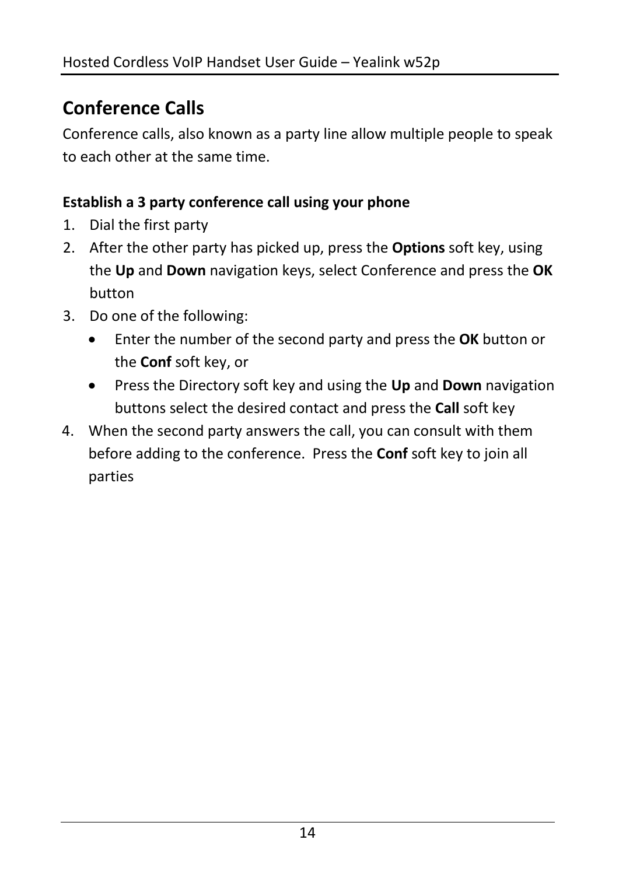# **Conference Calls**

Conference calls, also known as a party line allow multiple people to speak to each other at the same time.

#### **Establish a 3 party conference call using your phone**

- 1. Dial the first party
- 2. After the other party has picked up, press the **Options** soft key, using the **Up** and **Down** navigation keys, select Conference and press the **OK** button
- 3. Do one of the following:
	- Enter the number of the second party and press the **OK** button or the **Conf** soft key, or
	- Press the Directory soft key and using the **Up** and **Down** navigation buttons select the desired contact and press the **Call** soft key
- 4. When the second party answers the call, you can consult with them before adding to the conference. Press the **Conf** soft key to join all parties